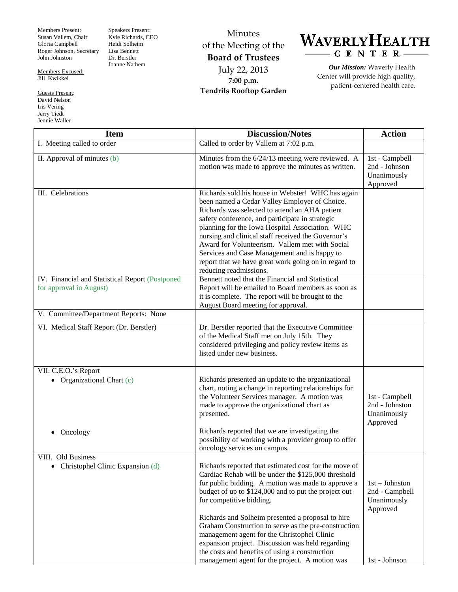Members Present: Susan Vallem, Chair Gloria Campbell Roger Johnson, Secretary John Johnston

Members Excused: Jill Kwikkel

Guests Present: David Nelson Iris Vering Jerry Tiedt Jennie Waller

Speakers Present: Kyle Richards, CEO Heidi Solheim Lisa Bennett Dr. Berstler Joanne Nathem

Minutes of the Meeting of the **Board of Trustees** July 22, 2013 **7:00 p.m. Tendrils Rooftop Garden**



*Our Mission:* Waverly Health Center will provide high quality, patient-centered health care.

| <b>Item</b>                                                                | <b>Discussion/Notes</b>                                                                                                                                                                                                                                                                                                                                                                                                                                                                                                                                                    | <b>Action</b>                                                                  |
|----------------------------------------------------------------------------|----------------------------------------------------------------------------------------------------------------------------------------------------------------------------------------------------------------------------------------------------------------------------------------------------------------------------------------------------------------------------------------------------------------------------------------------------------------------------------------------------------------------------------------------------------------------------|--------------------------------------------------------------------------------|
| I. Meeting called to order                                                 | Called to order by Vallem at 7:02 p.m.                                                                                                                                                                                                                                                                                                                                                                                                                                                                                                                                     |                                                                                |
| II. Approval of minutes (b)                                                | Minutes from the 6/24/13 meeting were reviewed. A<br>motion was made to approve the minutes as written.                                                                                                                                                                                                                                                                                                                                                                                                                                                                    | 1st - Campbell<br>2nd - Johnson<br>Unanimously<br>Approved                     |
| III. Celebrations                                                          | Richards sold his house in Webster! WHC has again<br>been named a Cedar Valley Employer of Choice.<br>Richards was selected to attend an AHA patient<br>safety conference, and participate in strategic<br>planning for the Iowa Hospital Association. WHC<br>nursing and clinical staff received the Governor's<br>Award for Volunteerism. Vallem met with Social<br>Services and Case Management and is happy to<br>report that we have great work going on in regard to<br>reducing readmissions.                                                                       |                                                                                |
| IV. Financial and Statistical Report (Postponed<br>for approval in August) | Bennett noted that the Financial and Statistical<br>Report will be emailed to Board members as soon as<br>it is complete. The report will be brought to the<br>August Board meeting for approval.                                                                                                                                                                                                                                                                                                                                                                          |                                                                                |
| V. Committee/Department Reports: None                                      |                                                                                                                                                                                                                                                                                                                                                                                                                                                                                                                                                                            |                                                                                |
| VI. Medical Staff Report (Dr. Berstler)                                    | Dr. Berstler reported that the Executive Committee<br>of the Medical Staff met on July 15th. They<br>considered privileging and policy review items as<br>listed under new business.                                                                                                                                                                                                                                                                                                                                                                                       |                                                                                |
| VII. C.E.O.'s Report<br>• Organizational Chart $(c)$<br>Oncology           | Richards presented an update to the organizational<br>chart, noting a change in reporting relationships for<br>the Volunteer Services manager. A motion was<br>made to approve the organizational chart as<br>presented.<br>Richards reported that we are investigating the<br>possibility of working with a provider group to offer                                                                                                                                                                                                                                       | 1st - Campbell<br>2nd - Johnston<br>Unanimously<br>Approved                    |
|                                                                            | oncology services on campus.                                                                                                                                                                                                                                                                                                                                                                                                                                                                                                                                               |                                                                                |
| VIII. Old Business<br>Christophel Clinic Expansion (d)<br>$\bullet$        | Richards reported that estimated cost for the move of<br>Cardiac Rehab will be under the \$125,000 threshold<br>for public bidding. A motion was made to approve a<br>budget of up to \$124,000 and to put the project out<br>for competitive bidding.<br>Richards and Solheim presented a proposal to hire<br>Graham Construction to serve as the pre-construction<br>management agent for the Christophel Clinic<br>expansion project. Discussion was held regarding<br>the costs and benefits of using a construction<br>management agent for the project. A motion was | $1st - Johnston$<br>2nd - Campbell<br>Unanimously<br>Approved<br>1st - Johnson |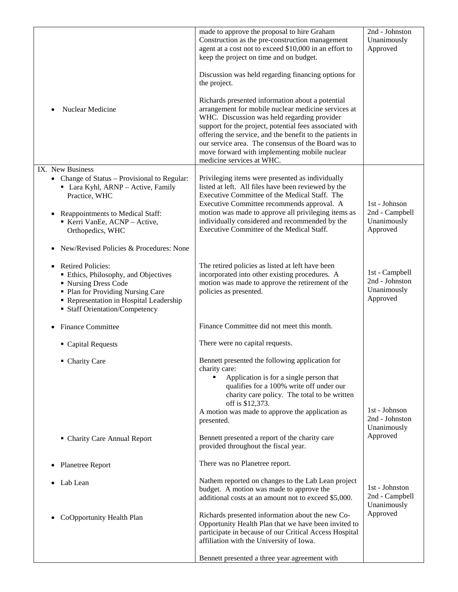|                                                                         | made to approve the proposal to hire Graham<br>Construction as the pre-construction management                                                                                                                                                                                                                                                                                                                     | 2nd - Johnston<br>Unanimously    |
|-------------------------------------------------------------------------|--------------------------------------------------------------------------------------------------------------------------------------------------------------------------------------------------------------------------------------------------------------------------------------------------------------------------------------------------------------------------------------------------------------------|----------------------------------|
|                                                                         | agent at a cost not to exceed \$10,000 in an effort to                                                                                                                                                                                                                                                                                                                                                             | Approved                         |
|                                                                         | keep the project on time and on budget.                                                                                                                                                                                                                                                                                                                                                                            |                                  |
|                                                                         | Discussion was held regarding financing options for<br>the project.                                                                                                                                                                                                                                                                                                                                                |                                  |
| Nuclear Medicine                                                        | Richards presented information about a potential<br>arrangement for mobile nuclear medicine services at<br>WHC. Discussion was held regarding provider<br>support for the project, potential fees associated with<br>offering the service, and the benefit to the patients in<br>our service area. The consensus of the Board was to<br>move forward with implementing mobile nuclear<br>medicine services at WHC. |                                  |
| IX. New Business<br>• Change of Status – Provisional to Regular:        | Privileging items were presented as individually                                                                                                                                                                                                                                                                                                                                                                   |                                  |
| • Lara Kyhl, ARNP - Active, Family                                      | listed at left. All files have been reviewed by the                                                                                                                                                                                                                                                                                                                                                                |                                  |
| Practice, WHC                                                           | Executive Committee of the Medical Staff. The                                                                                                                                                                                                                                                                                                                                                                      | 1st - Johnson                    |
| Reappointments to Medical Staff:                                        | Executive Committee recommends approval. A<br>motion was made to approve all privileging items as                                                                                                                                                                                                                                                                                                                  | 2nd - Campbell                   |
| Kerri VanEe, ACNP - Active,                                             | individually considered and recommended by the                                                                                                                                                                                                                                                                                                                                                                     | Unanimously                      |
| Orthopedics, WHC                                                        | Executive Committee of the Medical Staff.                                                                                                                                                                                                                                                                                                                                                                          | Approved                         |
| New/Revised Policies & Procedures: None                                 |                                                                                                                                                                                                                                                                                                                                                                                                                    |                                  |
| <b>Retired Policies:</b>                                                | The retired policies as listed at left have been                                                                                                                                                                                                                                                                                                                                                                   |                                  |
| Ethics, Philosophy, and Objectives<br>■ Nursing Dress Code              | incorporated into other existing procedures. A<br>motion was made to approve the retirement of the                                                                                                                                                                                                                                                                                                                 | 1st - Campbell<br>2nd - Johnston |
| • Plan for Providing Nursing Care                                       | policies as presented.                                                                                                                                                                                                                                                                                                                                                                                             | Unanimously                      |
| Representation in Hospital Leadership<br>• Staff Orientation/Competency |                                                                                                                                                                                                                                                                                                                                                                                                                    | Approved                         |
|                                                                         |                                                                                                                                                                                                                                                                                                                                                                                                                    |                                  |
| <b>Finance Committee</b>                                                | Finance Committee did not meet this month.                                                                                                                                                                                                                                                                                                                                                                         |                                  |
| • Capital Requests                                                      | There were no capital requests.                                                                                                                                                                                                                                                                                                                                                                                    |                                  |
| • Charity Care                                                          | Bennett presented the following application for<br>charity care:                                                                                                                                                                                                                                                                                                                                                   |                                  |
|                                                                         | Application is for a single person that                                                                                                                                                                                                                                                                                                                                                                            |                                  |
|                                                                         | qualifies for a 100% write off under our<br>charity care policy. The total to be written                                                                                                                                                                                                                                                                                                                           |                                  |
|                                                                         | off is \$12,373.                                                                                                                                                                                                                                                                                                                                                                                                   |                                  |
|                                                                         | A motion was made to approve the application as                                                                                                                                                                                                                                                                                                                                                                    | 1st - Johnson<br>2nd - Johnston  |
|                                                                         | presented.                                                                                                                                                                                                                                                                                                                                                                                                         | Unanimously                      |
| • Charity Care Annual Report                                            | Bennett presented a report of the charity care<br>provided throughout the fiscal year.                                                                                                                                                                                                                                                                                                                             | Approved                         |
| Planetree Report<br>٠                                                   | There was no Planetree report.                                                                                                                                                                                                                                                                                                                                                                                     |                                  |
| Lab Lean                                                                | Nathem reported on changes to the Lab Lean project                                                                                                                                                                                                                                                                                                                                                                 |                                  |
|                                                                         | budget. A motion was made to approve the<br>additional costs at an amount not to exceed \$5,000.                                                                                                                                                                                                                                                                                                                   | 1st - Johnston<br>2nd - Campbell |
|                                                                         |                                                                                                                                                                                                                                                                                                                                                                                                                    | Unanimously                      |
| CoOpportunity Health Plan                                               | Richards presented information about the new Co-                                                                                                                                                                                                                                                                                                                                                                   | Approved                         |
|                                                                         | Opportunity Health Plan that we have been invited to<br>participate in because of our Critical Access Hospital                                                                                                                                                                                                                                                                                                     |                                  |
|                                                                         | affiliation with the University of Iowa.                                                                                                                                                                                                                                                                                                                                                                           |                                  |
|                                                                         | Bennett presented a three year agreement with                                                                                                                                                                                                                                                                                                                                                                      |                                  |
|                                                                         |                                                                                                                                                                                                                                                                                                                                                                                                                    |                                  |